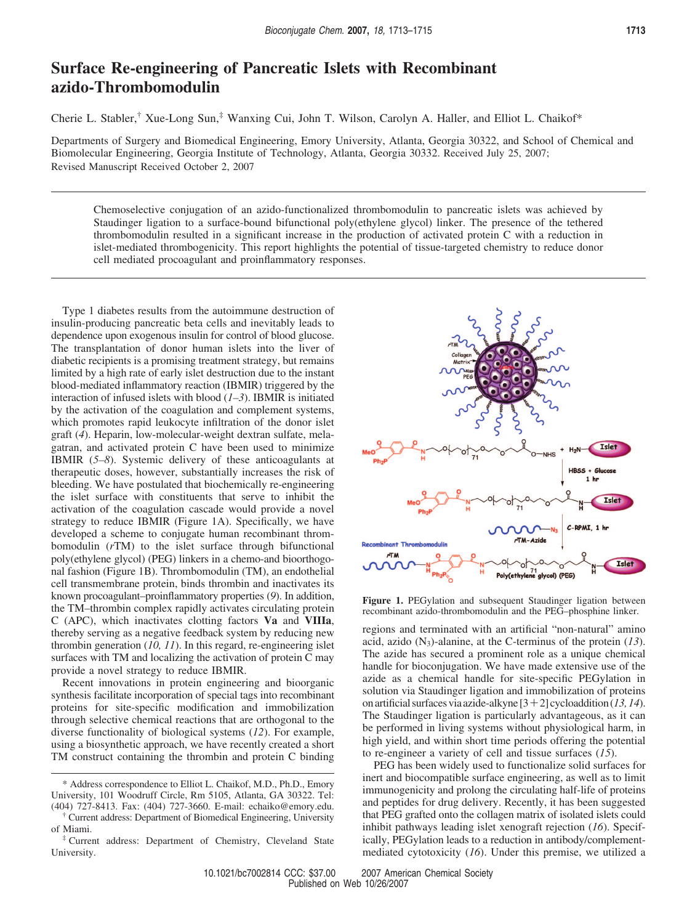## **Surface Re-engineering of Pancreatic Islets with Recombinant azido-Thrombomodulin**

Cherie L. Stabler,† Xue-Long Sun,‡ Wanxing Cui, John T. Wilson, Carolyn A. Haller, and Elliot L. Chaikof\*

Departments of Surgery and Biomedical Engineering, Emory University, Atlanta, Georgia 30322, and School of Chemical and Biomolecular Engineering, Georgia Institute of Technology, Atlanta, Georgia 30332. Received July 25, 2007; Revised Manuscript Received October 2, 2007

Chemoselective conjugation of an azido-functionalized thrombomodulin to pancreatic islets was achieved by Staudinger ligation to a surface-bound bifunctional poly(ethylene glycol) linker. The presence of the tethered thrombomodulin resulted in a significant increase in the production of activated protein C with a reduction in islet-mediated thrombogenicity. This report highlights the potential of tissue-targeted chemistry to reduce donor cell mediated procoagulant and proinflammatory responses.

Type 1 diabetes results from the autoimmune destruction of insulin-producing pancreatic beta cells and inevitably leads to dependence upon exogenous insulin for control of blood glucose. The transplantation of donor human islets into the liver of diabetic recipients is a promising treatment strategy, but remains limited by a high rate of early islet destruction due to the instant blood-mediated inflammatory reaction (IBMIR) triggered by the interaction of infused islets with blood (*1–3*). IBMIR is initiated by the activation of the coagulation and complement systems, which promotes rapid leukocyte infiltration of the donor islet graft (*4*). Heparin, low-molecular-weight dextran sulfate, melagatran, and activated protein C have been used to minimize IBMIR (*5–8*). Systemic delivery of these anticoagulants at therapeutic doses, however, substantially increases the risk of bleeding. We have postulated that biochemically re-engineering the islet surface with constituents that serve to inhibit the activation of the coagulation cascade would provide a novel strategy to reduce IBMIR (Figure 1A). Specifically, we have developed a scheme to conjugate human recombinant thrombomodulin (*r*TM) to the islet surface through bifunctional poly(ethylene glycol) (PEG) linkers in a chemo-and bioorthogonal fashion (Figure 1B). Thrombomodulin (TM), an endothelial cell transmembrane protein, binds thrombin and inactivates its known procoagulant–proinflammatory properties (*9*). In addition, the TM–thrombin complex rapidly activates circulating protein C (APC), which inactivates clotting factors **Va** and **VIIIa**, thereby serving as a negative feedback system by reducing new thrombin generation (*10, 11*). In this regard, re-engineering islet surfaces with TM and localizing the activation of protein C may provide a novel strategy to reduce IBMIR.

Recent innovations in protein engineering and bioorganic synthesis facilitate incorporation of special tags into recombinant proteins for site-specific modification and immobilization through selective chemical reactions that are orthogonal to the diverse functionality of biological systems (*12*). For example, using a biosynthetic approach, we have recently created a short TM construct containing the thrombin and protein C binding

† Current address: Department of Biomedical Engineering, University of Miami.



**Figure 1.** PEGylation and subsequent Staudinger ligation between recombinant azido-thrombomodulin and the PEG–phosphine linker.

regions and terminated with an artificial "non-natural" amino acid, azido (N3)-alanine, at the C-terminus of the protein (*13*). The azide has secured a prominent role as a unique chemical handle for bioconjugation. We have made extensive use of the azide as a chemical handle for site-specific PEGylation in solution via Staudinger ligation and immobilization of proteins onartificialsurfacesviaazide-alkyne[3+2]cycloaddition(*13, 14*). The Staudinger ligation is particularly advantageous, as it can be performed in living systems without physiological harm, in high yield, and within short time periods offering the potential to re-engineer a variety of cell and tissue surfaces (*15*).

PEG has been widely used to functionalize solid surfaces for inert and biocompatible surface engineering, as well as to limit immunogenicity and prolong the circulating half-life of proteins and peptides for drug delivery. Recently, it has been suggested that PEG grafted onto the collagen matrix of isolated islets could inhibit pathways leading islet xenograft rejection (*16*). Specifically, PEGylation leads to a reduction in antibody/complementmediated cytotoxicity (*16*). Under this premise, we utilized a

<sup>\*</sup> Address correspondence to Elliot L. Chaikof, M.D., Ph.D., Emory University, 101 Woodruff Circle, Rm 5105, Atlanta, GA 30322. Tel: (404) 727-8413. Fax: (404) 727-3660. E-mail: echaiko@emory.edu.

<sup>‡</sup> Current address: Department of Chemistry, Cleveland State University.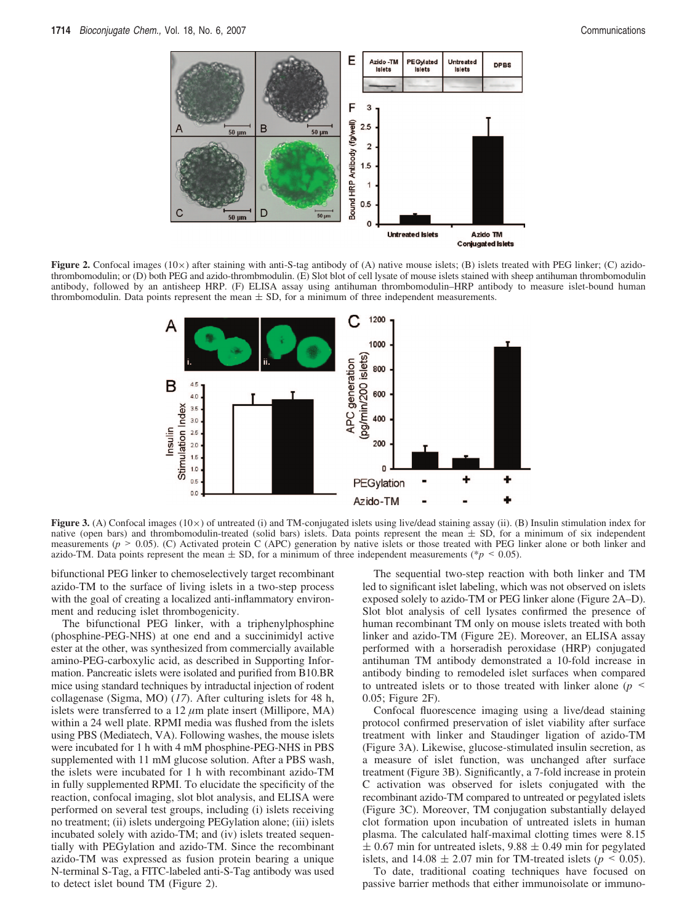

**Figure 2.** Confocal images ( $10 \times$ ) after staining with anti-S-tag antibody of (A) native mouse islets; (B) islets treated with PEG linker; (C) azidothrombomodulin; or (D) both PEG and azido-thrombmodulin. (E) Slot blot of cell lysate of mouse islets stained with sheep antihuman thrombomodulin antibody, followed by an antisheep HRP. (F) ELISA assay using antihuman thrombomodulin–HRP antibody to measure islet-bound human thrombomodulin. Data points represent the mean  $\pm$  SD, for a minimum of three independent measurements.



**Figure 3.** (A) Confocal images (10×) of untreated (i) and TM-conjugated islets using live/dead staining assay (ii). (B) Insulin stimulation index for native (open bars) and thrombomodulin-treated (solid bars) islets. Data points represent the mean  $\pm$  SD, for a minimum of six independent measurements (*p* > 0.05). (C) Activated protein C (APC) generation by native islets or those treated with PEG linker alone or both linker and azido-TM. Data points represent the mean  $\pm$  SD, for a minimum of three independent measurements (\**p* < 0.05).

bifunctional PEG linker to chemoselectively target recombinant azido-TM to the surface of living islets in a two-step process with the goal of creating a localized anti-inflammatory environment and reducing islet thrombogenicity.

The bifunctional PEG linker, with a triphenylphosphine (phosphine-PEG-NHS) at one end and a succinimidyl active ester at the other, was synthesized from commercially available amino-PEG-carboxylic acid, as described in Supporting Information. Pancreatic islets were isolated and purified from B10.BR mice using standard techniques by intraductal injection of rodent collagenase (Sigma, MO) (*17*). After culturing islets for 48 h, islets were transferred to a  $12 \mu m$  plate insert (Millipore, MA) within a 24 well plate. RPMI media was flushed from the islets using PBS (Mediatech, VA). Following washes, the mouse islets were incubated for 1 h with 4 mM phosphine-PEG-NHS in PBS supplemented with 11 mM glucose solution. After a PBS wash, the islets were incubated for 1 h with recombinant azido-TM in fully supplemented RPMI. To elucidate the specificity of the reaction, confocal imaging, slot blot analysis, and ELISA were performed on several test groups, including (i) islets receiving no treatment; (ii) islets undergoing PEGylation alone; (iii) islets incubated solely with azido-TM; and (iv) islets treated sequentially with PEGylation and azido-TM. Since the recombinant azido-TM was expressed as fusion protein bearing a unique N-terminal S-Tag, a FITC-labeled anti-S-Tag antibody was used to detect islet bound TM (Figure 2).

The sequential two-step reaction with both linker and TM led to significant islet labeling, which was not observed on islets exposed solely to azido-TM or PEG linker alone (Figure 2A–D). Slot blot analysis of cell lysates confirmed the presence of human recombinant TM only on mouse islets treated with both linker and azido-TM (Figure 2E). Moreover, an ELISA assay performed with a horseradish peroxidase (HRP) conjugated antihuman TM antibody demonstrated a 10-fold increase in antibody binding to remodeled islet surfaces when compared to untreated islets or to those treated with linker alone ( $p \leq$ 0.05; Figure 2F).

Confocal fluorescence imaging using a live/dead staining protocol confirmed preservation of islet viability after surface treatment with linker and Staudinger ligation of azido-TM (Figure 3A). Likewise, glucose-stimulated insulin secretion, as a measure of islet function, was unchanged after surface treatment (Figure 3B). Significantly, a 7-fold increase in protein C activation was observed for islets conjugated with the recombinant azido-TM compared to untreated or pegylated islets (Figure 3C). Moreover, TM conjugation substantially delayed clot formation upon incubation of untreated islets in human plasma. The calculated half-maximal clotting times were 8.15  $\pm$  0.67 min for untreated islets, 9.88  $\pm$  0.49 min for pegylated islets, and  $14.08 \pm 2.07$  min for TM-treated islets ( $p \le 0.05$ ).

To date, traditional coating techniques have focused on passive barrier methods that either immunoisolate or immuno